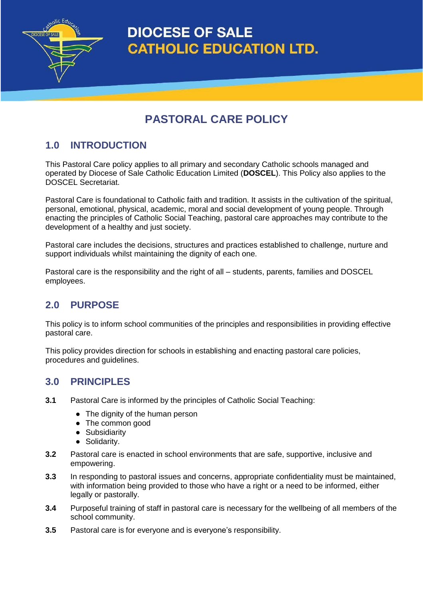**DIOCESE OF SALE CATHOLIC EDUCATION LTD.** 

# **PASTORAL CARE POLICY**

# **1.0 INTRODUCTION**

nolic Educ

This Pastoral Care policy applies to all primary and secondary Catholic schools managed and operated by Diocese of Sale Catholic Education Limited (**DOSCEL**). This Policy also applies to the DOSCEL Secretariat.

Pastoral Care is foundational to Catholic faith and tradition. It assists in the cultivation of the spiritual, personal, emotional, physical, academic, moral and social development of young people. Through enacting the principles of Catholic Social Teaching, pastoral care approaches may contribute to the development of a healthy and just society.

Pastoral care includes the decisions, structures and practices established to challenge, nurture and support individuals whilst maintaining the dignity of each one.

Pastoral care is the responsibility and the right of all – students, parents, families and DOSCEL employees.

# **2.0 PURPOSE**

This policy is to inform school communities of the principles and responsibilities in providing effective pastoral care.

This policy provides direction for schools in establishing and enacting pastoral care policies, procedures and guidelines.

### **3.0 PRINCIPLES**

- **3.1** Pastoral Care is informed by the principles of Catholic Social Teaching:
	- The dignity of the human person
	- The common good
	- Subsidiarity
	- Solidarity.
- **3.2** Pastoral care is enacted in school environments that are safe, supportive, inclusive and empowering.
- **3.3** In responding to pastoral issues and concerns, appropriate confidentiality must be maintained, with information being provided to those who have a right or a need to be informed, either legally or pastorally.
- **3.4** Purposeful training of staff in pastoral care is necessary for the wellbeing of all members of the school community.
- **3.5** Pastoral care is for everyone and is everyone's responsibility.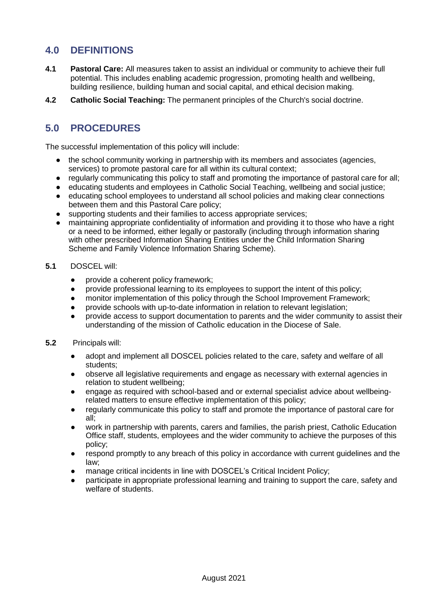## **4.0 DEFINITIONS**

- **4.1 Pastoral Care:** All measures taken to assist an individual or community to achieve their full potential. This includes enabling academic progression, promoting health and wellbeing, building resilience, building human and social capital, and ethical decision making.
- **4.2 Catholic Social Teaching:** The permanent principles of the Church's social doctrine.

# **5.0 PROCEDURES**

The successful implementation of this policy will include:

- the school community working in partnership with its members and associates (agencies, services) to promote pastoral care for all within its cultural context;
- regularly communicating this policy to staff and promoting the importance of pastoral care for all;
- educating students and employees in Catholic Social Teaching, wellbeing and social justice;
- educating school employees to understand all school policies and making clear connections between them and this Pastoral Care policy;
- supporting students and their families to access appropriate services;
- maintaining appropriate confidentiality of information and providing it to those who have a right or a need to be informed, either legally or pastorally (including through information sharing with other prescribed Information Sharing Entities under the Child Information Sharing Scheme and Family Violence Information Sharing Scheme).
- **5.1** DOSCEL will:
	- provide a coherent policy framework;
	- provide professional learning to its employees to support the intent of this policy;
	- monitor implementation of this policy through the School Improvement Framework;
	- provide schools with up-to-date information in relation to relevant legislation:
	- provide access to support documentation to parents and the wider community to assist their understanding of the mission of Catholic education in the Diocese of Sale.
- **5.2** Principals will:
	- adopt and implement all DOSCEL policies related to the care, safety and welfare of all students;
	- observe all legislative requirements and engage as necessary with external agencies in relation to student wellbeing;
	- engage as required with school-based and or external specialist advice about wellbeingrelated matters to ensure effective implementation of this policy;
	- regularly communicate this policy to staff and promote the importance of pastoral care for all;
	- work in partnership with parents, carers and families, the parish priest, Catholic Education Office staff, students, employees and the wider community to achieve the purposes of this policy;
	- respond promptly to any breach of this policy in accordance with current guidelines and the law;
	- manage critical incidents in line with DOSCEL's Critical Incident Policy;
	- participate in appropriate professional learning and training to support the care, safety and welfare of students.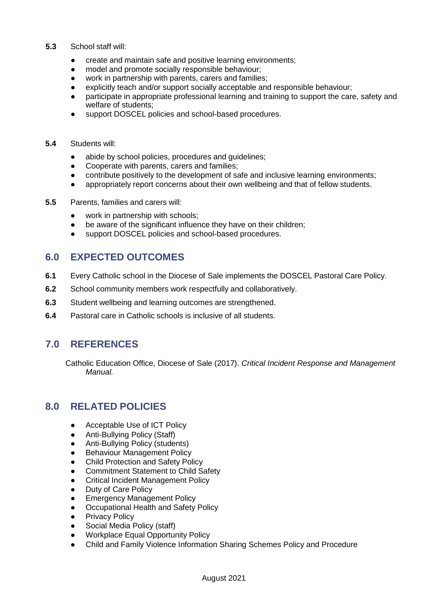#### **5.3** School staff will:

- create and maintain safe and positive learning environments;
- model and promote socially responsible behaviour;
- work in partnership with parents, carers and families;
- explicitly teach and/or support socially acceptable and responsible behaviour;
- participate in appropriate professional learning and training to support the care, safety and welfare of students;
- support DOSCEL policies and school-based procedures.
- **5.4** Students will:
	- abide by school policies, procedures and guidelines;
	- Cooperate with parents, carers and families;
	- contribute positively to the development of safe and inclusive learning environments;
	- appropriately report concerns about their own wellbeing and that of fellow students.
- **5.5** Parents, families and carers will:
	- work in partnership with schools;
	- be aware of the significant influence they have on their children;
	- support DOSCEL policies and school-based procedures.

### **6.0 EXPECTED OUTCOMES**

- **6.1** Every Catholic school in the Diocese of Sale implements the DOSCEL Pastoral Care Policy.
- **6.2** School community members work respectfully and collaboratively.
- **6.3** Student wellbeing and learning outcomes are strengthened.
- **6.4** Pastoral care in Catholic schools is inclusive of all students.

## **7.0 REFERENCES**

Catholic Education Office, Diocese of Sale (2017). *Critical Incident Response and Management Manual.*

## **8.0 RELATED POLICIES**

- Acceptable Use of ICT Policy
- Anti-Bullying Policy (Staff)
- Anti-Bullying Policy (students)
- **Behaviour Management Policy**
- **Child Protection and Safety Policy**
- Commitment Statement to Child Safety
- **Critical Incident Management Policy**
- **Duty of Care Policy**
- **Emergency Management Policy**
- Occupational Health and Safety Policy
- **Privacy Policy**
- Social Media Policy (staff)
- Workplace Equal Opportunity Policy
- Child and Family Violence Information Sharing Schemes Policy and Procedure